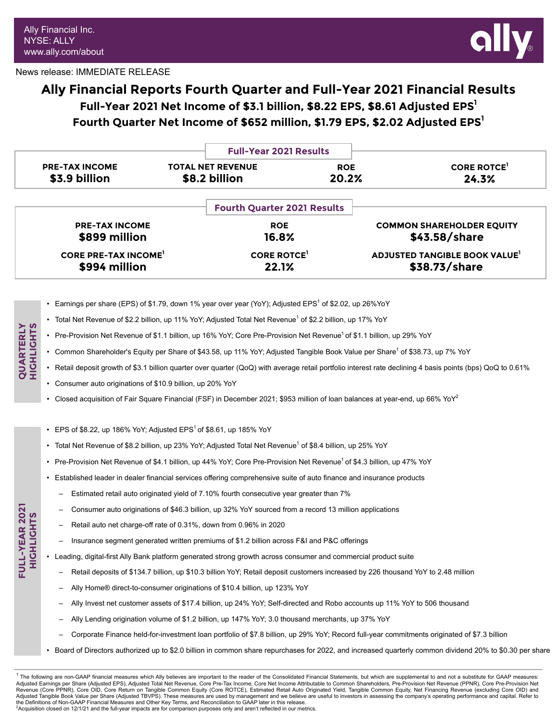**QUARTERLY HIGHLIGHTS**

> **FULL-YEAR 2021 HIGHLIGHTS**

FULL-YEAR 2021



### News release: IMMEDIATE RELEASE

# **Ally Financial Reports Fourth Quarter and Full-Year 2021 Financial Results Full-Year 2021 Net Income of \$3.1 billion, \$8.22 EPS, \$8.61 Adjusted EPS<sup>1</sup> Fourth Quarter Net Income of \$652 million, \$1.79 EPS, \$2.02 Adjusted EPS<sup>1</sup>**

|                            |                          | <b>Full-Year 2021 Results</b>      |                                     |
|----------------------------|--------------------------|------------------------------------|-------------------------------------|
| <b>PRE-TAX INCOME</b>      | <b>TOTAL NET REVENUE</b> | <b>ROE</b>                         | <b>CORE ROTCE</b>                   |
| \$3.9 billion              | \$8.2 billion            | 20.2%                              | 24.3%                               |
|                            |                          | <b>Fourth Quarter 2021 Results</b> |                                     |
| <b>PRE-TAX INCOME</b>      |                          | <b>ROE</b>                         | <b>COMMON SHAREHOLDER EQUITY</b>    |
| \$899 million              |                          | 16.8%                              | \$43.58/share                       |
| <b>CORE PRE-TAX INCOME</b> |                          | <b>CORE ROTCE</b>                  | <b>ADJUSTED TANGIBLE BOOK VALUE</b> |
| \$994 million              |                          | 22.1%                              | \$38.73/share                       |

- Earnings per share (EPS) of \$1.79, down 1% year over year (YoY); Adjusted EPS<sup>1</sup> of \$2.02, up 26%YoY
- Total Net Revenue of \$2.2 billion, up 11% YoY; Adjusted Total Net Revenue<sup>1</sup> of \$2.2 billion, up 17% YoY
- Pre-Provision Net Revenue of \$1.1 billion, up 16% YoY; Core Pre-Provision Net Revenue<sup>1</sup> of \$1.1 billion, up 29% YoY
- Common Shareholder's Equity per Share of \$43.58, up 11% YoY; Adjusted Tangible Book Value per Share<sup>1</sup> of \$38.73, up 7% YoY
- Retail deposit growth of \$3.1 billion quarter over quarter (QoQ) with average retail portfolio interest rate declining 4 basis points (bps) QoQ to 0.61%
- *•* Consumer auto originations of \$10.9 billion, up 20% YoY
- Closed acquisition of Fair Square Financial (FSF) in December 2021; \$953 million of loan balances at year-end, up 66% YoY<sup>2</sup>
- EPS of \$8.22, up 186% YoY; Adjusted EPS $^1$  of \$8.61, up 185% YoY
- Total Net Revenue of \$8.2 billion, up 23% YoY; Adjusted Total Net Revenue<sup>1</sup> of \$8.4 billion, up 25% YoY
- Pre-Provision Net Revenue of \$4.1 billion, up 44% YoY; Core Pre-Provision Net Revenue<sup>1</sup> of \$4.3 billion, up 47% YoY
- Established leader in dealer financial services offering comprehensive suite of auto finance and insurance products
	- Estimated retail auto originated yield of 7.10% fourth consecutive year greater than 7%
	- Consumer auto originations of \$46.3 billion, up 32% YoY sourced from a record 13 million applications
	- Retail auto net charge-off rate of 0.31%, down from 0.96% in 2020
	- Insurance segment generated written premiums of \$1.2 billion across F&I and P&C offerings
- Leading, digital-first Ally Bank platform generated strong growth across consumer and commercial product suite
	- Retail deposits of \$134.7 billion, up \$10.3 billion YoY; Retail deposit customers increased by 226 thousand YoY to 2.48 million
	- Ally Home® direct-to-consumer originations of \$10.4 billion, up 123% YoY
	- Ally Invest net customer assets of \$17.4 billion, up 24% YoY; Self-directed and Robo accounts up 11% YoY to 506 thousand
	- Ally Lending origination volume of \$1.2 billion, up 147% YoY; 3.0 thousand merchants, up 37% YoY
	- Corporate Finance held-for-investment loan portfolio of \$7.8 billion, up 29% YoY; Record full-year commitments originated of \$7.3 billion
- Board of Directors authorized up to \$2.0 billion in common share repurchases for 2022, and increased quarterly common dividend 20% to \$0.30 per share

 $1$  The following are non-GAAP financial measures which Ally believes are important to the reader of the Consolidated Financial Statements, but which are supplemental to and not a substitute for GAAP measures: Adjusted Earnings per Share (Adjusted EPS), Adjusted Total Net Revenue, Core Pre-Tax Income, Core Net Income Attributable to Common Shareholders, Pre-Provision Net Revenue (PPNR), Core Pre-Provision Net Nevenue (Core PPNR), Core OID, Core Return on Tangible Common Equity (Core ROTCE), Estimated Retail Auto Originated Yield, Tangible Common Equity, Net Financing Revenue (excluding Core OID) and Revenue (excluding Core OID) Adjusted Tangible Book Value per Share (Adjusted TBVPS). These measures are used by management and we believe are useful to investors in assessing the company's operating performance and capital. Refer to the Definitions of Non-GAAP Financial Measures and Other Key Terms, and Reconciliation to GAAP later in this release.<br><sup>2</sup>Acquisition closed on 12/1/21 and the full-year impacts are for comparison purposes only and aren't r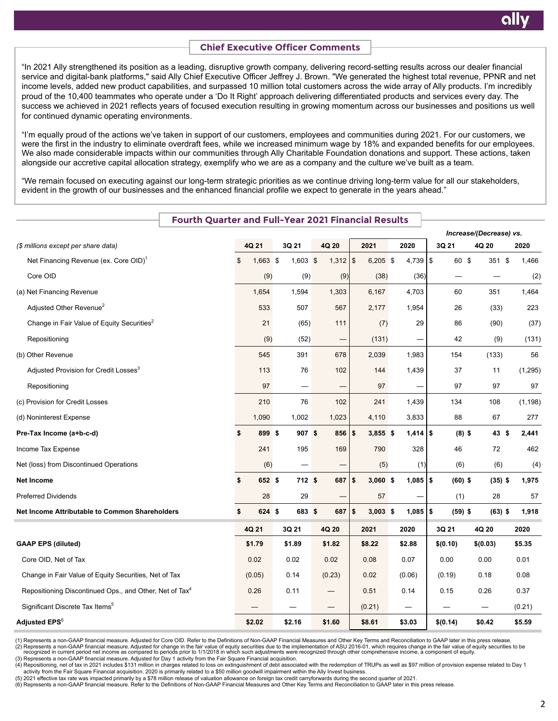# **Chief Executive Officer Comments**

"In 2021 Ally strengthened its position as a leading, disruptive growth company, delivering record-setting results across our dealer financial service and digital-bank platforms," said Ally Chief Executive Officer Jeffrey J. Brown. "We generated the highest total revenue, PPNR and net income levels, added new product capabilities, and surpassed 10 million total customers across the wide array of Ally products. I'm incredibly proud of the 10,400 teammates who operate under a 'Do It Right' approach delivering differentiated products and services every day. The success we achieved in 2021 reflects years of focused execution resulting in growing momentum across our businesses and positions us well for continued dynamic operating environments.

"I'm equally proud of the actions we've taken in support of our customers, employees and communities during 2021. For our customers, we were the first in the industry to eliminate overdraft fees, while we increased minimum wage by 18% and expanded benefits for our employees. We also made considerable impacts within our communities through Ally Charitable Foundation donations and support. These actions, taken alongside our accretive capital allocation strategy, exemplify who we are as a company and the culture we've built as a team.

"We remain focused on executing against our long-term strategic priorities as we continue driving long-term value for all our stakeholders, evident in the growth of our businesses and the enhanced financial profile we expect to generate in the years ahead."

| <b>Fourth Quarter and Full-Year 2021 Financial Results</b>          |                  |                          |                 |        |            |              |           |                         |          |
|---------------------------------------------------------------------|------------------|--------------------------|-----------------|--------|------------|--------------|-----------|-------------------------|----------|
|                                                                     |                  |                          |                 |        |            |              |           | Increase/(Decrease) vs. |          |
| (\$ millions except per share data)                                 | 4Q 21            | 3Q 21                    | 4Q 20           | 2021   |            | 2020         | 3Q 21     | 4Q 20                   | 2020     |
| Net Financing Revenue (ex. Core OID) <sup>1</sup>                   | \$<br>$1,663$ \$ | $1,603$ \$               | $1,312$ \\$     |        | $6,205$ \$ |              | 60 \$     | 351 \$                  | 1,466    |
| Core OID                                                            | (9)              | (9)                      | (9)             |        | (38)       | (36)         | -         |                         | (2)      |
| (a) Net Financing Revenue                                           | 1,654            | 1,594                    | 1,303           | 6,167  |            | 4,703        | 60        | 351                     | 1,464    |
| Adjusted Other Revenue <sup>2</sup>                                 | 533              | 507                      | 567             | 2,177  |            | 1,954        | 26        | (33)                    | 223      |
| Change in Fair Value of Equity Securities <sup>2</sup>              | 21               | (65)                     | 111             |        | (7)        | 29           | 86        | (90)                    | (37)     |
| Repositioning                                                       | (9)              | (52)                     | $\qquad \qquad$ | (131)  |            |              | 42        | (9)                     | (131)    |
| (b) Other Revenue                                                   | 545              | 391                      | 678             | 2,039  |            | 1,983        | 154       | (133)                   | 56       |
| Adjusted Provision for Credit Losses <sup>3</sup>                   | 113              | 76                       | 102             | 144    |            | 1,439        | 37        | 11                      | (1, 295) |
| Repositioning                                                       | 97               | $\overline{\phantom{0}}$ |                 |        | 97         |              | 97        | 97                      | 97       |
| (c) Provision for Credit Losses                                     | 210              | 76                       | 102             | 241    |            | 1,439        | 134       | 108                     | (1, 198) |
| (d) Noninterest Expense                                             | 1,090            | 1,002                    | 1,023           | 4,110  |            | 3,833        | 88        | 67                      | 277      |
| Pre-Tax Income (a+b-c-d)                                            | \$<br>899 \$     | 907S                     | $856 $ \$       |        | $3,855$ \$ | $1,414$ \$   | $(8)$ \$  | 43 \$                   | 2,441    |
| Income Tax Expense                                                  | 241              | 195                      | 169             | 790    |            | 328          | 46        | 72                      | 462      |
| Net (loss) from Discontinued Operations                             | (6)              | —                        |                 |        | (5)        | (1)          | (6)       | (6)                     | (4)      |
| <b>Net Income</b>                                                   | \$<br>652 \$     | 712 \$                   | 687             | \$     | $3,060$ \$ | $1,085$   \$ | $(60)$ \$ | $(35)$ \$               | 1,975    |
| <b>Preferred Dividends</b>                                          | 28               | 29                       |                 |        | 57         |              | (1)       | 28                      | 57       |
| Net Income Attributable to Common Shareholders                      | \$<br>624S       | 683 \$                   | $687$   \$      |        | $3,003$ \$ | $1,085$   \$ | $(59)$ \$ | $(63)$ \$               | 1,918    |
|                                                                     | 4Q 21            | 3Q 21                    | 4Q 20           | 2021   |            | 2020         | 3Q 21     | 4Q 20                   | 2020     |
| <b>GAAP EPS (diluted)</b>                                           | \$1.79           | \$1.89                   | \$1.82          | \$8.22 |            | \$2.88       | \$(0.10)  | \$(0.03)                | \$5.35   |
| Core OID, Net of Tax                                                | 0.02             | 0.02                     | 0.02            | 0.08   |            | 0.07         | 0.00      | 0.00                    | 0.01     |
| Change in Fair Value of Equity Securities, Net of Tax               | (0.05)           | 0.14                     | (0.23)          | 0.02   |            | (0.06)       | (0.19)    | 0.18                    | 0.08     |
| Repositioning Discontinued Ops., and Other, Net of Tax <sup>4</sup> | 0.26             | 0.11                     |                 | 0.51   |            | 0.14         | 0.15      | 0.26                    | 0.37     |
| Significant Discrete Tax Items <sup>5</sup>                         |                  |                          |                 | (0.21) |            |              |           |                         | (0.21)   |
| <b>Adjusted EPS<sup>6</sup></b>                                     | \$2.02           | \$2.16                   | \$1.60          | \$8.61 |            | \$3.03       | \$(0.14)  | \$0.42                  | \$5.59   |

(1) Represents a non-GAAP financial measure. Adjusted for Core OID. Refer to the Definitions of Non-GAAP Financial Measures and Other Key Terms and Reconciliation to GAAP later in this press release.<br>(2) Represents a non-G

(3) Represents a non-GAAP financial measure. Adjusted for Day 1 activity from the Fair Square Financial acquisition.

(4) Repositioning, net of tax in 2021 includes \$131 million in charges related to loss on extinguishment of debt associated with the redemption of TRUPs as well as \$97 million of provision expense related to Day 1

. activity from the Fair Square Financial acquisition. 2020 is primarily related to a \$50 million goodwill impairment within the Ally Invest business.<br>.(5) 2021 effective tax rate was impacted primarily by a \$78 million re

(6) Represents a non-GAAP financial measure. Refer to the Definitions of Non-GAAP Financial Measures and Other Key Terms and Reconciliation to GAAP later in this press release.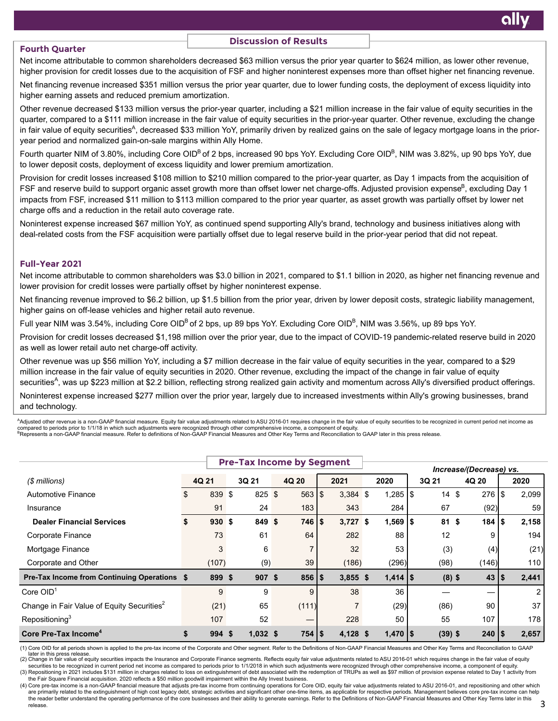### **Fourth Quarter**

### **Discussion of Results**

Net income attributable to common shareholders decreased \$63 million versus the prior year quarter to \$624 million, as lower other revenue, higher provision for credit losses due to the acquisition of FSF and higher noninterest expenses more than offset higher net financing revenue.

Net financing revenue increased \$351 million versus the prior year quarter, due to lower funding costs, the deployment of excess liquidity into higher earning assets and reduced premium amortization.

Other revenue decreased \$133 million versus the prior-year quarter, including a \$21 million increase in the fair value of equity securities in the quarter, compared to a \$111 million increase in the fair value of equity securities in the prior-year quarter. Other revenue, excluding the change in fair value of equity securities<sup>A</sup>, decreased \$33 million YoY, primarily driven by realized gains on the sale of legacy mortgage loans in the prioryear period and normalized gain-on-sale margins within Ally Home.

Fourth quarter NIM of 3.80%, including Core OID<sup>B</sup> of 2 bps, increased 90 bps YoY. Excluding Core OID<sup>B</sup>, NIM was 3.82%, up 90 bps YoY, due to lower deposit costs, deployment of excess liquidity and lower premium amortization.

Provision for credit losses increased \$108 million to \$210 million compared to the prior-year quarter, as Day 1 impacts from the acquisition of FSF and reserve build to support organic asset growth more than offset lower net charge-offs. Adjusted provision expense<sup>B</sup>, excluding Day 1 impacts from FSF, increased \$11 million to \$113 million compared to the prior year quarter, as asset growth was partially offset by lower net charge offs and a reduction in the retail auto coverage rate.

Noninterest expense increased \$67 million YoY, as continued spend supporting Ally's brand, technology and business initiatives along with deal-related costs from the FSF acquisition were partially offset due to legal reserve build in the prior-year period that did not repeat.

#### **Full-Year 2021**

Net income attributable to common shareholders was \$3.0 billion in 2021, compared to \$1.1 billion in 2020, as higher net financing revenue and lower provision for credit losses were partially offset by higher noninterest expense.

Net financing revenue improved to \$6.2 billion, up \$1.5 billion from the prior year, driven by lower deposit costs, strategic liability management, higher gains on off-lease vehicles and higher retail auto revenue.

Full year NIM was 3.54%, including Core OID $^{\rm B}$ of 2 bps, up 89 bps YoY. Excluding Core OID $^{\rm B}$ , NIM was 3.56%, up 89 bps YoY.

Provision for credit losses decreased \$1,198 million over the prior year, due to the impact of COVID-19 pandemic-related reserve build in 2020 as well as lower retail auto net charge-off activity.

Other revenue was up \$56 million YoY, including a \$7 million decrease in the fair value of equity securities in the year, compared to a \$29 million increase in the fair value of equity securities in 2020. Other revenue, excluding the impact of the change in fair value of equity securities<sup>A</sup>, was up \$223 million at \$2.2 billion, reflecting strong realized gain activity and momentum across Ally's diversified product offerings.

Noninterest expense increased \$277 million over the prior year, largely due to increased investments within Ally's growing businesses, brand and technology.

<sup>A</sup>Adjusted other revenue is a non-GAAP financial measure. Equity fair value adjustments related to ASU 2016-01 requires change in the fair value of equity securities to be recognized in current period net income as compared to periods prior to 1/1/18 in which such adjustments were recognized through other comprehensive income, a component of equity.<br><sup>B</sup>Represents a non-GAAP financial measure. Refer to definitions of Non-GAAP Financia

|                                                        |       | <b>Pre-Tax Income by Segment</b> |            |  |                     |      |            |               |                       |  |           |                         |                     |       |  |      |
|--------------------------------------------------------|-------|----------------------------------|------------|--|---------------------|------|------------|---------------|-----------------------|--|-----------|-------------------------|---------------------|-------|--|------|
|                                                        |       |                                  |            |  |                     |      |            |               |                       |  |           | Increase/(Decrease) vs. |                     |       |  |      |
| (\$ millions)                                          | 4Q 21 |                                  | 3Q 21      |  | 4Q 20               | 2021 |            | 2020<br>3Q 21 |                       |  |           | 4Q 20                   |                     |       |  | 2020 |
| Automotive Finance                                     | \$.   | 839 \$                           | 825 \$     |  | $563$ $\frac{1}{3}$ |      | $3,384$ \$ |               | $1,285$ $\frac{1}{3}$ |  | 14        | \$                      | $276$   \$          | 2,099 |  |      |
| Insurance                                              |       | 91                               | 24         |  | 183                 |      | 343        |               | 284                   |  | 67        |                         | (92)                | 59    |  |      |
| <b>Dealer Financial Services</b>                       |       | 930S                             | 849 \$     |  | $746$   \$          |      | $3,727$ \$ |               | $1,569$   \$          |  | 81        | \$                      | $184$ $\frac{1}{3}$ | 2,158 |  |      |
| Corporate Finance                                      |       | 73                               | 61         |  | 64                  |      | 282        |               | 88                    |  | 12        |                         | 9                   | 194   |  |      |
| Mortgage Finance                                       |       | 3                                | 6          |  |                     |      | 32         |               | 53                    |  | (3)       |                         | (4)                 | (21)  |  |      |
| Corporate and Other                                    |       | (107)                            | (9)        |  | 39                  |      | (186)      |               | (296)                 |  | (98)      |                         | (146)               | 110   |  |      |
| <b>Pre-Tax Income from Continuing Operations \$</b>    |       | 899 \$                           | 907S       |  | $856$   \$          |      | $3,855$ \$ |               | $1,414$   \$          |  | $(8)$ \$  |                         | 43 S                | 2,441 |  |      |
| Core $OID1$                                            |       | 9                                | 9          |  | 9                   |      | 38         |               | 36                    |  |           |                         |                     |       |  |      |
| Change in Fair Value of Equity Securities <sup>2</sup> |       | (21)                             | 65         |  | (111)               |      |            |               | (29)                  |  | (86)      |                         | 90                  | 37    |  |      |
| Repositioning <sup>3</sup>                             |       | 107                              | 52         |  |                     |      | 228        |               | 50                    |  | 55        |                         | 107                 | 178   |  |      |
| Core Pre-Tax Income <sup>4</sup>                       | \$    | 994S                             | $1,032$ \$ |  | $754$   \$          |      | $4,128$ \$ |               | $1,470$   \$          |  | $(39)$ \$ |                         | $240$   \$          | 2,657 |  |      |

(1) Core OID for all periods shown is applied to the pre-tax income of the Corporate and Other segment. Refer to the Definitions of Non-GAAP Financial Measures and Other Key Terms and Reconciliation to GAAP later in this press release.

(2) Change in fair value of equity securities impacts the Insurance and Corporate Finance segments. Reflects equity fair value adjustments related to ASU 2016-01 which requires change in the fair value of equity.<br>Securitie (3) Repositioning in 2021 includes \$131 million in charges related to loss on extinguishment of debt associated with the redemption of TRUPs as well as \$97 million of provision expense related to Day 1 activity from the Fair Square Financial acquisition. 2020 reflects a \$50 million goodwill impairment within the Ally Invest business.

(4) Core pre-tax income is a non-GAAP financial measure that adjusts pre-tax income from continuing operations for Core OID, equity fair value adjustments related to ASU 2016-01, and repositioning and other which are primarily related to the extinguishment of high cost legacy debt, strategic activities and significant other one-time items, as applicable for respective periods. Management believes core pre-tax income can help the reader better understand the operating performance of the core businesses and their ability to generate earnings. Refer to the Definitions of Non-GAAP Financial Measures and Other Key Terms later in this release.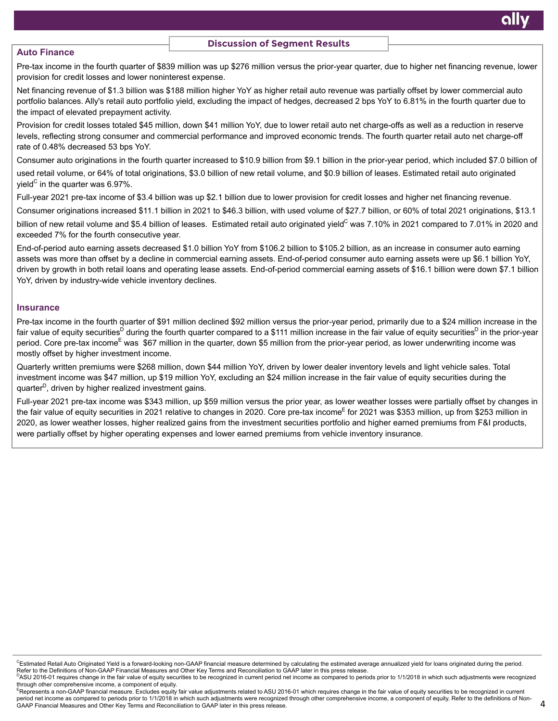### **Discussion of Segment Results**

### **Auto Finance**

Pre-tax income in the fourth quarter of \$839 million was up \$276 million versus the prior-year quarter, due to higher net financing revenue, lower provision for credit losses and lower noninterest expense.

Net financing revenue of \$1.3 billion was \$188 million higher YoY as higher retail auto revenue was partially offset by lower commercial auto portfolio balances. Ally's retail auto portfolio yield, excluding the impact of hedges, decreased 2 bps YoY to 6.81% in the fourth quarter due to the impact of elevated prepayment activity.

Provision for credit losses totaled \$45 million, down \$41 million YoY, due to lower retail auto net charge-offs as well as a reduction in reserve levels, reflecting strong consumer and commercial performance and improved economic trends. The fourth quarter retail auto net charge-off rate of 0.48% decreased 53 bps YoY.

Consumer auto originations in the fourth quarter increased to \$10.9 billion from \$9.1 billion in the prior-year period, which included \$7.0 billion of used retail volume, or 64% of total originations, \$3.0 billion of new retail volume, and \$0.9 billion of leases. Estimated retail auto originated yield<sup>C</sup> in the quarter was 6.97%.

Full-year 2021 pre-tax income of \$3.4 billion was up \$2.1 billion due to lower provision for credit losses and higher net financing revenue.

Consumer originations increased \$11.1 billion in 2021 to \$46.3 billion, with used volume of \$27.7 billion, or 60% of total 2021 originations, \$13.1

billion of new retail volume and \$5.4 billion of leases. Estimated retail auto originated yield<sup>C</sup> was 7.10% in 2021 compared to 7.01% in 2020 and exceeded 7% for the fourth consecutive year.

End-of-period auto earning assets decreased \$1.0 billion YoY from \$106.2 billion to \$105.2 billion, as an increase in consumer auto earning assets was more than offset by a decline in commercial earning assets. End-of-period consumer auto earning assets were up \$6.1 billion YoY, driven by growth in both retail loans and operating lease assets. End-of-period commercial earning assets of \$16.1 billion were down \$7.1 billion YoY, driven by industry-wide vehicle inventory declines.

#### **Insurance**

Pre-tax income in the fourth quarter of \$91 million declined \$92 million versus the prior-year period, primarily due to a \$24 million increase in the fair value of equity securities<sup>D</sup> during the fourth quarter compared to a \$111 million increase in the fair value of equity securities<sup>D</sup> in the prior-year period. Core pre-tax income<sup>E</sup> was \$67 million in the quarter, down \$5 million from the prior-year period, as lower underwriting income was mostly offset by higher investment income.

Quarterly written premiums were \$268 million, down \$44 million YoY, driven by lower dealer inventory levels and light vehicle sales. Total investment income was \$47 million, up \$19 million YoY, excluding an \$24 million increase in the fair value of equity securities during the quarter<sup>D</sup>, driven by higher realized investment gains.

Full-year 2021 pre-tax income was \$343 million, up \$59 million versus the prior year, as lower weather losses were partially offset by changes in the fair value of equity securities in 2021 relative to changes in 2020. Core pre-tax income<sup>E</sup> for 2021 was \$353 million, up from \$253 million in 2020, as lower weather losses, higher realized gains from the investment securities portfolio and higher earned premiums from F&I products, were partially offset by higher operating expenses and lower earned premiums from vehicle inventory insurance.

<sup>&</sup>lt;sup>C</sup>Estimated Retail Auto Originated Yield is a forward-looking non-GAAP financial measure determined by calculating the estimated average annualized yield for loans originated during the period. Refer to the Definitions of Non-GAAP Financial Measures and Other Key Terms and Reconciliation to GAAP later in this press release.

PASU 2016-01 requires change in the fair value of equity securities to be recognized in current period net income as compared to periods prior to 1/1/2018 in which such adjustments were recognized through other comprehensive income, a component of equity.

ERepresents a non-GAAP financial measure. Excludes equity fair value adjustments related to ASU 2016-01 which requires change in the fair value of equity securities to be recognized in current period net income as compared to periods prior to 1/1/2018 in which such adjustments were recognized through other comprehensive income, a component of equity. Refer to the definitions of Non-GAAP Financial Measures and Other Key Terms and Reconciliation to GAAP later in this press release.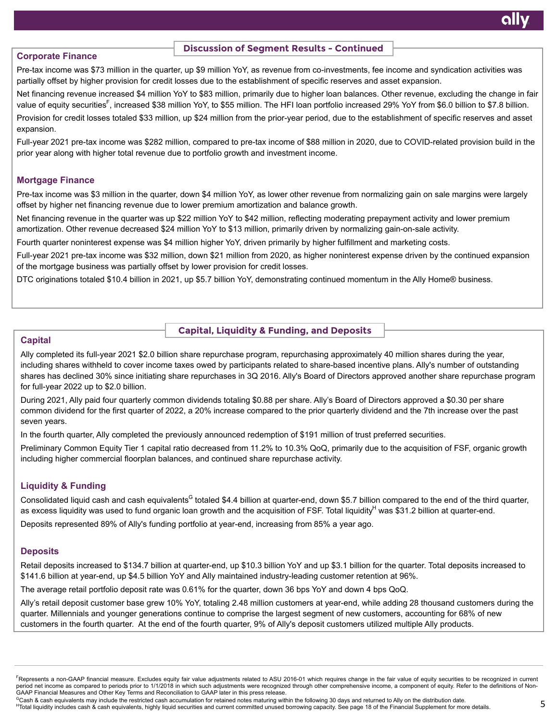# **Corporate Finance**

### **Discussion of Segment Results - Continued**

Pre-tax income was \$73 million in the quarter, up \$9 million YoY, as revenue from co-investments, fee income and syndication activities was partially offset by higher provision for credit losses due to the establishment of specific reserves and asset expansion.

Net financing revenue increased \$4 million YoY to \$83 million, primarily due to higher loan balances. Other revenue, excluding the change in fair value of equity securities<sup>F</sup>, increased \$38 million YoY, to \$55 million. The HFI loan portfolio increased 29% YoY from \$6.0 billion to \$7.8 billion. Provision for credit losses totaled \$33 million, up \$24 million from the prior-year period, due to the establishment of specific reserves and asset expansion.

Full-year 2021 pre-tax income was \$282 million, compared to pre-tax income of \$88 million in 2020, due to COVID-related provision build in the prior year along with higher total revenue due to portfolio growth and investment income.

# **Mortgage Finance**

Pre-tax income was \$3 million in the quarter, down \$4 million YoY, as lower other revenue from normalizing gain on sale margins were largely offset by higher net financing revenue due to lower premium amortization and balance growth.

Net financing revenue in the quarter was up \$22 million YoY to \$42 million, reflecting moderating prepayment activity and lower premium amortization. Other revenue decreased \$24 million YoY to \$13 million, primarily driven by normalizing gain-on-sale activity.

Fourth quarter noninterest expense was \$4 million higher YoY, driven primarily by higher fulfillment and marketing costs.

Full-year 2021 pre-tax income was \$32 million, down \$21 million from 2020, as higher noninterest expense driven by the continued expansion of the mortgage business was partially offset by lower provision for credit losses.

DTC originations totaled \$10.4 billion in 2021, up \$5.7 billion YoY, demonstrating continued momentum in the Ally Home® business.

### **Capital, Liquidity & Funding, and Deposits**

# **Capital**

Ally completed its full-year 2021 \$2.0 billion share repurchase program, repurchasing approximately 40 million shares during the year, including shares withheld to cover income taxes owed by participants related to share-based incentive plans. Ally's number of outstanding shares has declined 30% since initiating share repurchases in 3Q 2016. Ally's Board of Directors approved another share repurchase program for full-year 2022 up to \$2.0 billion.

During 2021, Ally paid four quarterly common dividends totaling \$0.88 per share. Ally's Board of Directors approved a \$0.30 per share common dividend for the first quarter of 2022, a 20% increase compared to the prior quarterly dividend and the 7th increase over the past seven years.

In the fourth quarter, Ally completed the previously announced redemption of \$191 million of trust preferred securities.

Preliminary Common Equity Tier 1 capital ratio decreased from 11.2% to 10.3% QoQ, primarily due to the acquisition of FSF, organic growth including higher commercial floorplan balances, and continued share repurchase activity.

# **Liquidity & Funding**

Consolidated liquid cash and cash equivalents<sup>G</sup> totaled \$4.4 billion at quarter-end, down \$5.7 billion compared to the end of the third quarter, as excess liquidity was used to fund organic loan growth and the acquisition of FSF. Total liquidity<sup>H</sup> was \$31.2 billion at quarter-end.

Deposits represented 89% of Ally's funding portfolio at year-end, increasing from 85% a year ago.

# **Deposits**

Retail deposits increased to \$134.7 billion at quarter-end, up \$10.3 billion YoY and up \$3.1 billion for the quarter. Total deposits increased to \$141.6 billion at year-end, up \$4.5 billion YoY and Ally maintained industry-leading customer retention at 96%.

The average retail portfolio deposit rate was 0.61% for the quarter, down 36 bps YoY and down 4 bps QoQ.

Ally's retail deposit customer base grew 10% YoY, totaling 2.48 million customers at year-end, while adding 28 thousand customers during the quarter. Millennials and younger generations continue to comprise the largest segment of new customers, accounting for 68% of new customers in the fourth quarter. At the end of the fourth quarter, 9% of Ally's deposit customers utilized multiple Ally products.

FRepresents a non-GAAP financial measure. Excludes equity fair value adjustments related to ASU 2016-01 which requires change in the fair value of equity securities to be recognized in current period net income as compared to periods prior to 1/1/2018 in which such adjustments were recognized through other comprehensive income, a component of equity. Refer to the definitions of Non-GAAP Financial Measures and Other Key Terms and Reconciliation to GAAP later in this press release.

<sup>c</sup>Cash & cash equivalents may include the restricted cash accumulation for retained notes maturing within the following 30 days and returned to Ally on the distribution date.

HTotal liquidity includes cash & cash equivalents, highly liquid securities and current committed unused borrowing capacity. See page 18 of the Financial Supplement for more details.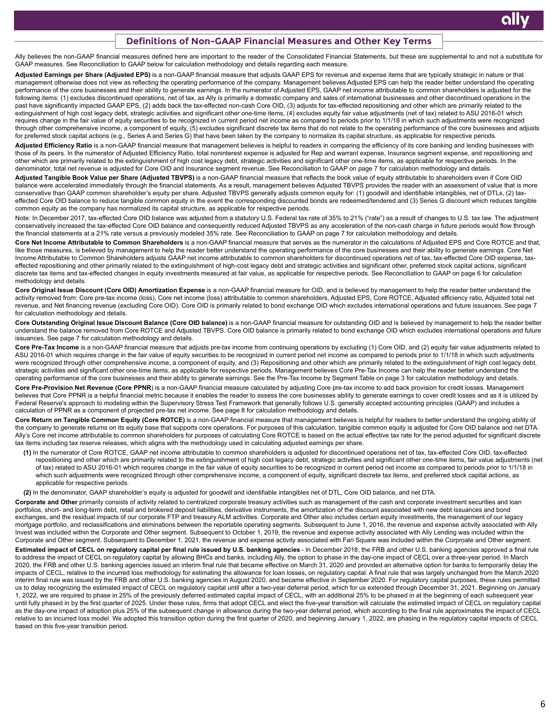#### **Definitions of Non-GAAP Financial Measures and Other Key Terms**

Ally believes the non-GAAP financial measures defined here are important to the reader of the Consolidated Financial Statements, but these are supplemental to and not a substitute for GAAP measures. See Reconciliation to GAAP below for calculation methodology and details regarding each measure.

Adjusted Earnings per Share (Adjusted EPS) is a non-GAAP financial measure that adjusts GAAP EPS for revenue and expense items that are typically strategic in nature or that management otherwise does not view as reflecting the operating performance of the company. Management believes Adjusted EPS can help the reader better understand the operating performance of the core businesses and their ability to generate earnings. In the numerator of Adjusted EPS, GAAP net income attributable to common shareholders is adjusted for the following items: (1) excludes discontinued operations, net of tax, as Ally is primarily a domestic company and sales of international businesses and other discontinued operations in the past have significantly impacted GAAP EPS, (2) adds back the tax-effected non-cash Core OID, (3) adjusts for tax-effected repositioning and other which are primarily related to the extinguishment of high cost legacy debt, strategic activities and significant other one-time items, (4) excludes equity fair value adjustments (net of tax) related to ASU 2016-01 which requires change in the fair value of equity securities to be recognized in current period net income as compared to periods prior to 1/1/18 in which such adjustments were recognized through other comprehensive income, a component of equity, (5) excludes significant discrete tax items that do not relate to the operating performance of the core businesses and adjusts for preferred stock capital actions (e.g., Series A and Series G) that have been taken by the company to normalize its capital structure, as applicable for respective periods.

Adjusted Efficiency Ratio is a non-GAAP financial measure that management believes is helpful to readers in comparing the efficiency of its core banking and lending businesses with those of its peers. In the numerator of Adjusted Efficiency Ratio, total noninterest expense is adjusted for Rep and warrant expense, Insurance segment expense, and repositioning and other which are primarily related to the extinguishment of high cost legacy debt, strategic activities and significant other one-time items, as applicable for respective periods. In the denominator, total net revenue is adjusted for Core OID and Insurance segment revenue. See Reconciliation to GAAP on page 7 for calculation methodology and details.

**Adjusted Tangible Book Value per Share (Adjusted TBVPS)** is a non-GAAP financial measure that reflects the book value of equity attributable to shareholders even if Core OID balance were accelerated immediately through the financial statements. As a result, management believes Adjusted TBVPS provides the reader with an assessment of value that is more conservative than GAAP common shareholder's equity per share. Adjusted TBVPS generally adjusts common equity for: (1) goodwill and identifiable intangibles, net of DTLs, (2) taxeffected Core OID balance to reduce tangible common equity in the event the corresponding discounted bonds are redeemed/tendered and (3) Series G discount which reduces tangible common equity as the company has normalized its capital structure, as applicable for respective periods.

Note: In December 2017, tax-effected Core OID balance was adjusted from a statutory U.S. Federal tax rate of 35% to 21% ("rate") as a result of changes to U.S. tax law. The adjustment conservatively increased the tax-effected Core OID balance and consequently reduced Adjusted TBVPS as any acceleration of the non-cash charge in future periods would flow through the financial statements at a 21% rate versus a previously modeled 35% rate. See Reconciliation to GAAP on page 7 for calculation methodology and details.

**Core Net Income Attributable to Common Shareholders** is a non-GAAP financial measure that serves as the numerator in the calculations of Adjusted EPS and Core ROTCE and that, like those measures, is believed by management to help the reader better understand the operating performance of the core businesses and their ability to generate earnings. Core Net Income Attributable to Common Shareholders adjusts GAAP net income attributable to common shareholders for discontinued operations net of tax, tax-effected Core OID expense, taxeffected repositioning and other primarily related to the extinguishment of high-cost legacy debt and strategic activities and significant other, preferred stock capital actions, significant discrete tax items and tax-effected changes in equity investments measured at fair value, as applicable for respective periods. See Reconciliation to GAAP on page 6 for calculation methodology and details.

Core Original Issue Discount (Core OID) Amortization Expense is a non-GAAP financial measure for OID, and is believed by management to help the reader better understand the activity removed from: Core pre-tax income (loss), Core net income (loss) attributable to common shareholders, Adjusted EPS, Core ROTCE, Adjusted efficiency ratio, Adjusted total net revenue, and Net financing revenue (excluding Core OID). Core OID is primarily related to bond exchange OID which excludes international operations and future issuances. See page 7 for calculation methodology and details.

Core Outstanding Original Issue Discount Balance (Core OID balance) is a non-GAAP financial measure for outstanding OID and is believed by management to help the reader better understand the balance removed from Core ROTCE and Adjusted TBVPS. Core OID balance is primarily related to bond exchange OID which excludes international operations and future issuances. See page 7 for calculation methodology and details.

Core Pre-Tax Income is a non-GAAP financial measure that adjusts pre-tax income from continuing operations by excluding (1) Core OID, and (2) equity fair value adjustments related to ASU 2016-01 which requires change in the fair value of equity securities to be recognized in current period net income as compared to periods prior to 1/1/18 in which such adjustments were recognized through other comprehensive income, a component of equity, and (3) Repositioning and other which are primarily related to the extinguishment of high cost legacy debt, strategic activities and significant other one-time items, as applicable for respective periods. Management believes Core Pre-Tax Income can help the reader better understand the operating performance of the core businesses and their ability to generate earnings. See the Pre-Tax Income by Segment Table on page 3 for calculation methodology and details.

Core Pre-Provision Net Revenue (Core PPNR) is a non-GAAP financial measure calculated by adjusting Core pre-tax income to add back provision for credit losses. Management believes that Core PPNR is a helpful financial metric because it enables the reader to assess the core businesses ability to generate earnings to cover credit losses and as it is utilized by Federal Reserve's approach to modeling within the Supervisory Stress Test Framework that generally follows U.S. generally accepted accounting principles (GAAP) and includes a calculation of PPNR as a component of projected pre-tax net income. See page 8 for calculation methodology and details.

Core Return on Tangible Common Equity (Core ROTCE) is a non-GAAP financial measure that management believes is helpful for readers to better understand the ongoing ability of the company to generate returns on its equity base that supports core operations. For purposes of this calculation, tangible common equity is adjusted for Core OID balance and net DTA. Ally's Core net income attributable to common shareholders for purposes of calculating Core ROTCE is based on the actual effective tax rate for the period adjusted for significant discrete tax items including tax reserve releases, which aligns with the methodology used in calculating adjusted earnings per share.

**(1)** In the numerator of Core ROTCE, GAAP net income attributable to common shareholders is adjusted for discontinued operations net of tax, tax-effected Core OID, tax-effected repositioning and other which are primarily related to the extinguishment of high cost legacy debt, strategic activities and significant other one-time items, fair value adjustments (net of tax) related to ASU 2016-01 which requires change in the fair value of equity securities to be recognized in current period net income as compared to periods prior to 1/1/18 in which such adjustments were recognized through other comprehensive income, a component of equity, significant discrete tax items, and preferred stock capital actions, as applicable for respective periods.

**(2)** In the denominator, GAAP shareholder's equity is adjusted for goodwill and identifiable intangibles net of DTL, Core OID balance, and net DTA.

Corporate and Other primarily consists of activity related to centralized corporate treasury activities such as management of the cash and corporate investment securities and loan portfolios, short- and long-term debt, retail and brokered deposit liabilities, derivative instruments, the amortization of the discount associated with new debt issuances and bond exchanges, and the residual impacts of our corporate FTP and treasury ALM activities. Corporate and Other also includes certain equity investments, the management of our legacy mortgage portfolio, and reclassifications and eliminations between the reportable operating segments. Subsequent to June 1, 2016, the revenue and expense activity associated with Ally Invest was included within the Corporate and Other segment. Subsequent to October 1, 2019, the revenue and expense activity associated with Ally Lending was included within the Corporate and Other segment. Subsequent to December 1, 2021, the revenue and expense activity associated with Fari Square was included within the Corproate and Other segment. **Estimated impact of CECL on regulatory capital per final rule issued by U.S. banking agencies** - In December 2018, the FRB and other U.S. banking agencies approved a final rule to address the impact of CECL on regulatory capital by allowing BHCs and banks, including Ally, the option to phase in the day-one impact of CECL over a three-year period. In March 2020, the FRB and other U.S. banking agencies issued an interim final rule that became effective on March 31, 2020 and provided an alternative option for banks to temporarily delay the impacts of CECL, relative to the incurred loss methodology for estimating the allowance for loan losses, on regulatory capital. A final rule that was largely unchanged from the March 2020 interim final rule was issued by the FRB and other U.S. banking agencies in August 2020, and became effective in September 2020. For regulatory capital purposes, these rules permitted us to delay recognizing the estimated impact of CECL on regulatory capital until after a two-year deferral period, which for us extended through December 31, 2021. Beginning on January 1, 2022, we are required to phase in 25% of the previously deferred estimated capital impact of CECL, with an additional 25% to be phased in at the beginning of each subsequent year until fully phased in by the first quarter of 2025. Under these rules, firms that adopt CECL and elect the five-year transition will calculate the estimated impact of CECL on regulatory capital as the day-one impact of adoption plus 25% of the subsequent change in allowance during the two-year deferral period, which according to the final rule approximates the impact of CECL relative to an incurred loss model. We adopted this transition option during the first quarter of 2020, and beginning January 1, 2022, are phasing in the regulatory capital impacts of CECL based on this five-year transition period.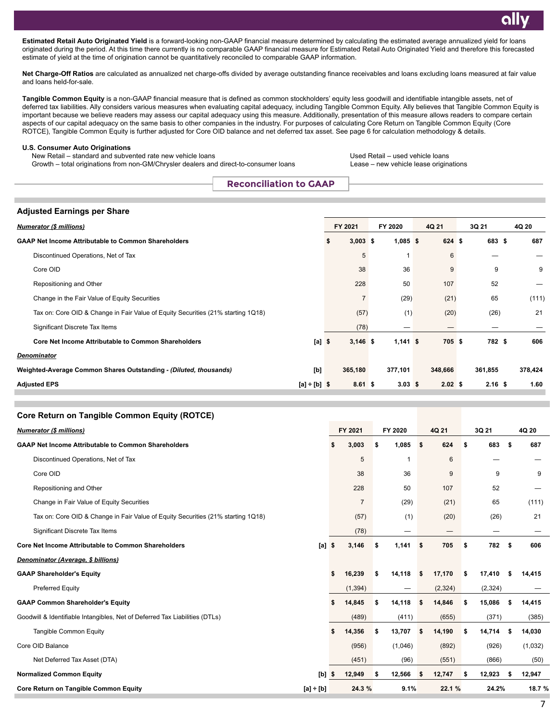**Estimated Retail Auto Originated Yield** is a forward-looking non-GAAP financial measure determined by calculating the estimated average annualized yield for loans originated during the period. At this time there currently is no comparable GAAP financial measure for Estimated Retail Auto Originated Yield and therefore this forecasted estimate of yield at the time of origination cannot be quantitatively reconciled to comparable GAAP information.

Net Charge-Off Ratios are calculated as annualized net charge-offs divided by average outstanding finance receivables and loans excluding loans measured at fair value and loans held-for-sale.

**Tangible Common Equity** is a non-GAAP financial measure that is defined as common stockholders' equity less goodwill and identifiable intangible assets, net of deferred tax liabilities. Ally considers various measures when evaluating capital adequacy, including Tangible Common Equity. Ally believes that Tangible Common Equity is important because we believe readers may assess our capital adequacy using this measure. Additionally, presentation of this measure allows readers to compare certain aspects of our capital adequacy on the same basis to other companies in the industry. For purposes of calculating Core Return on Tangible Common Equity (Core ROTCE), Tangible Common Equity is further adjusted for Core OID balance and net deferred tax asset. See page 6 for calculation methodology & details.

#### **U.S. Consumer Auto Originations**

New Retail – standard and subvented rate new vehicle loans<br>Growth – total originations from non-GM/Chrysler dealers and direct-to-consumer loans Lease – new vehicle lease originations Growth – total originations from non-GM/Chrysler dealers and direct-to-consumer loans

**Core Return on Tangible Common Equity (ROTCE)**

**Reconciliation to GAAP**

|  | Adjusted Earnings per Share |  |  |  |
|--|-----------------------------|--|--|--|
|--|-----------------------------|--|--|--|

| <b>Numerator (\$ millions)</b>                                                   | FY 2021         | FY 2020            | 4Q 21              | 3Q 21     | 4Q 20   |
|----------------------------------------------------------------------------------|-----------------|--------------------|--------------------|-----------|---------|
| <b>GAAP Net Income Attributable to Common Shareholders</b>                       | $3,003$ \$<br>S | $1,085$ \$         | 624 \$             | 683 \$    | 687     |
| Discontinued Operations, Net of Tax                                              | 5               |                    | 6                  |           |         |
| Core OID                                                                         | 38              | 36                 | 9                  | 9         | 9       |
| Repositioning and Other                                                          | 228             | 50                 | 107                | 52        |         |
| Change in the Fair Value of Equity Securities                                    |                 | (29)               | (21)               | 65        | (111)   |
| Tax on: Core OID & Change in Fair Value of Equity Securities (21% starting 1Q18) | (57)            | (1)                | (20)               | (26)      | 21      |
| Significant Discrete Tax Items                                                   | (78)            |                    |                    |           |         |
| <b>Core Net Income Attributable to Common Shareholders</b><br>$[a]$ \$           | $3,146$ \$      | $1,141$ \$         | 705 \$             | 782 \$    | 606     |
| <b>Denominator</b>                                                               |                 |                    |                    |           |         |
| [b]<br>Weighted-Average Common Shares Outstanding - (Diluted, thousands)         | 365,180         | 377,101            | 348,666            | 361,855   | 378,424 |
| <b>Adjusted EPS</b><br>$[a] \div [b]$ \$                                         | $8.61$ \$       | $3.03 \; \text{S}$ | $2.02 \text{ }$ \$ | $2.16$ \$ | 1.60    |

| Core Return on Tangible Common Equity (ROTCE)                                    |             |                |              |              |              |              |         |
|----------------------------------------------------------------------------------|-------------|----------------|--------------|--------------|--------------|--------------|---------|
| <b>Numerator (\$ millions)</b>                                                   |             | FY 2021        | FY 2020      | 4Q 21        | 3Q 21        | 4Q 20        |         |
| <b>GAAP Net Income Attributable to Common Shareholders</b>                       |             | 3,003          | 1,085<br>\$  | 624<br>\$    | \$<br>683    | \$           | 687     |
| Discontinued Operations, Net of Tax                                              |             | 5              |              | 6            |              |              |         |
| Core OID                                                                         |             | 38             | 36           | 9            | 9            |              | 9       |
| Repositioning and Other                                                          |             | 228            | 50           | 107          | 52           |              |         |
| Change in Fair Value of Equity Securities                                        |             | $\overline{7}$ | (29)         | (21)         | 65           |              | (111)   |
| Tax on: Core OID & Change in Fair Value of Equity Securities (21% starting 1Q18) |             | (57)           | (1)          | (20)         | (26)         |              | 21      |
| Significant Discrete Tax Items                                                   |             | (78)           | —            |              | —            |              |         |
| <b>Core Net Income Attributable to Common Shareholders</b>                       | $[a]$ \$    | 3,146          | 1,141<br>\$  | 705<br>\$    | \$<br>782    | \$           | 606     |
| Denominator (Average, \$ billions)                                               |             |                |              |              |              |              |         |
| <b>GAAP Shareholder's Equity</b>                                                 |             | \$<br>16,239   | 14,118<br>\$ | 17,170<br>\$ | \$<br>17,410 | 14,415<br>S  |         |
| <b>Preferred Equity</b>                                                          |             | (1, 394)       |              | (2, 324)     | (2, 324)     |              |         |
| <b>GAAP Common Shareholder's Equity</b>                                          |             | 14,845<br>\$   | 14,118<br>\$ | 14,846<br>\$ | \$<br>15,086 | 14,415<br>Ъ  |         |
| Goodwill & Identifiable Intangibles, Net of Deferred Tax Liabilities (DTLs)      |             | (489)          | (411)        | (655)        | (371)        |              | (385)   |
| <b>Tangible Common Equity</b>                                                    |             | 14,356<br>\$   | 13,707<br>\$ | 14,190<br>\$ | \$<br>14,714 | 14,030<br>S  |         |
| Core OID Balance                                                                 |             | (956)          | (1,046)      | (892)        | (926)        |              | (1,032) |
| Net Deferred Tax Asset (DTA)                                                     |             | (451)          | (96)         | (551)        | (866)        |              | (50)    |
| <b>Normalized Common Equity</b>                                                  | [b]         | 12,949<br>\$   | 12,566<br>\$ | 12,747<br>\$ | \$<br>12,923 | 12,947<br>\$ |         |
| <b>Core Return on Tangible Common Equity</b>                                     | $[a] + [b]$ | 24.3 %         | 9.1%         | 22.1 %       | 24.2%        |              | 18.7 %  |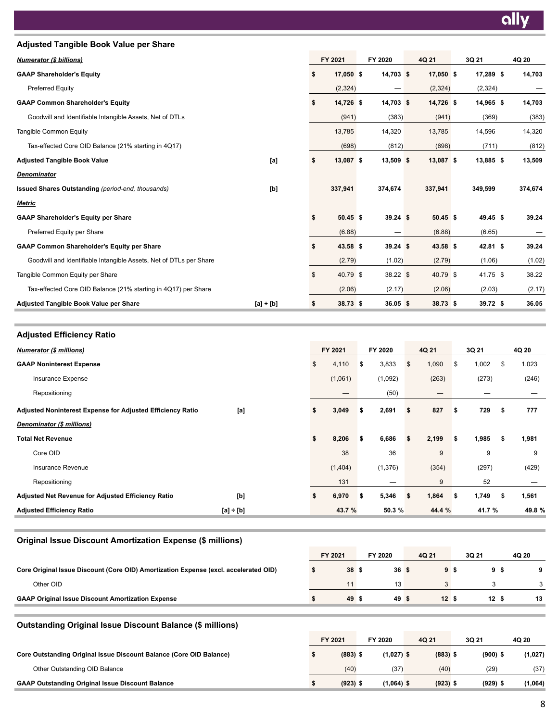| <b>Adjusted Tangible Book Value per Share</b>                      |             |                  |             |            |            |         |
|--------------------------------------------------------------------|-------------|------------------|-------------|------------|------------|---------|
| <b>Numerator (\$ billions)</b>                                     |             | FY 2021          | FY 2020     | 4Q 21      | 3Q 21      | 4Q 20   |
| <b>GAAP Shareholder's Equity</b>                                   |             | \$<br>17,050 \$  | $14,703$ \$ | 17,050 \$  | 17,289 \$  | 14,703  |
| Preferred Equity                                                   |             | (2,324)          |             | (2,324)    | (2,324)    |         |
| <b>GAAP Common Shareholder's Equity</b>                            |             | \$<br>14,726 \$  | $14,703$ \$ | 14,726 \$  | 14,965 \$  | 14,703  |
| Goodwill and Identifiable Intangible Assets, Net of DTLs           |             | (941)            | (383)       | (941)      | (369)      | (383)   |
| <b>Tangible Common Equity</b>                                      |             | 13,785           | 14,320      | 13,785     | 14,596     | 14,320  |
| Tax-effected Core OID Balance (21% starting in 4Q17)               |             | (698)            | (812)       | (698)      | (711)      | (812)   |
| <b>Adjusted Tangible Book Value</b>                                | [a]         | \$<br>13,087 \$  | $13,509$ \$ | 13,087 \$  | 13,885 \$  | 13,509  |
| <b>Denominator</b>                                                 |             |                  |             |            |            |         |
| <b>Issued Shares Outstanding (period-end, thousands)</b>           | [b]         | 337,941          | 374,674     | 337,941    | 349,599    | 374,674 |
| <b>Metric</b>                                                      |             |                  |             |            |            |         |
| <b>GAAP Shareholder's Equity per Share</b>                         |             | \$<br>$50.45$ \$ | $39.24$ \$  | $50.45$ \$ | 49.45 \$   | 39.24   |
| Preferred Equity per Share                                         |             | (6.88)           |             | (6.88)     | (6.65)     |         |
| <b>GAAP Common Shareholder's Equity per Share</b>                  |             | \$<br>43.58 \$   | $39.24$ \$  | $43.58$ \$ | $42.81$ \$ | 39.24   |
| Goodwill and Identifiable Intangible Assets, Net of DTLs per Share |             | (2.79)           | (1.02)      | (2.79)     | (1.06)     | (1.02)  |
| Tangible Common Equity per Share                                   |             | \$<br>40.79 \$   | 38.22 \$    | 40.79 \$   | 41.75 \$   | 38.22   |
| Tax-effected Core OID Balance (21% starting in 4Q17) per Share     |             | (2.06)           | (2.17)      | (2.06)     | (2.03)     | (2.17)  |
| <b>Adjusted Tangible Book Value per Share</b>                      | $[a] + [b]$ | \$<br>38.73 \$   | $36.05$ \$  | 38.73 \$   | 39.72 \$   | 36.05   |

**Adjusted Efficiency Ratio** *Numerator (\$ millions)* **FY 2021 FY 2020 4Q 21 3Q 21 4Q 20 GAAP Noninterest Expense** \$ 4,110 \$ 3,833 \$ 1,090 \$ 1,002 \$ 1,023 Insurance Expense (1,061) (1,092) (263) (273) (246) Repositioning — (50) — — — **Adjusted Noninterest Expense for Adjusted Efficiency Ratio [a] \$ 3,049 \$ 2,691 \$ 827 \$ 729 \$ 777**  *Denominator (\$ millions)* **Total Net Revenue \$ 8,206 \$ 6,686 \$ 2,199 \$ 1,985 \$ 1,981**  Core OID 38 36 9 9 9 Insurance Revenue (1,404) (1,376) (354) (297) (429) Repositioning 131  $-$  9 52  $-$ **Adjusted Net Revenue for Adjusted Efficiency Ratio [b] \$ 6,970 \$ 5,346 \$ 1,864 \$ 1,749 \$ 1,561 Adjusted Efficiency Ratio [a] ÷ [b] 43.7 % 50.3 % 44.4 % 41.7 % 49.8 %**

## **Original Issue Discount Amortization Expense (\$ millions)**

|                                                                                      | FY 2021 |       | FY 2020 | 4Q 21 | 3Q 21 | 4Q 20 |    |
|--------------------------------------------------------------------------------------|---------|-------|---------|-------|-------|-------|----|
| Core Original Issue Discount (Core OID) Amortization Expense (excl. accelerated OID) |         | 38 \$ | 36S     | 9 S   |       | 95    |    |
| Other OID                                                                            |         |       | 13      |       |       |       |    |
| <b>GAAP Original Issue Discount Amortization Expense</b>                             |         | 49 \$ | 49 \$   | 12S   | 12S   |       | 13 |
|                                                                                      |         |       |         |       |       |       |    |

### **Outstanding Original Issue Discount Balance (\$ millions)**

|                                                                     | FY 2021 |            | FY 2020      | 4Q 21      | 3Q 21      | 4Q 20   |
|---------------------------------------------------------------------|---------|------------|--------------|------------|------------|---------|
| Core Outstanding Original Issue Discount Balance (Core OID Balance) |         | $(883)$ \$ | $(1,027)$ \$ | $(883)$ \$ | $(900)$ \$ | (1,027) |
| Other Outstanding OID Balance                                       |         | (40)       | (37          | (40)       | (29)       | (37)    |
| <b>GAAP Outstanding Original Issue Discount Balance</b>             |         | $(923)$ \$ | $(1,064)$ \$ | $(923)$ \$ | $(929)$ \$ | 1,064)  |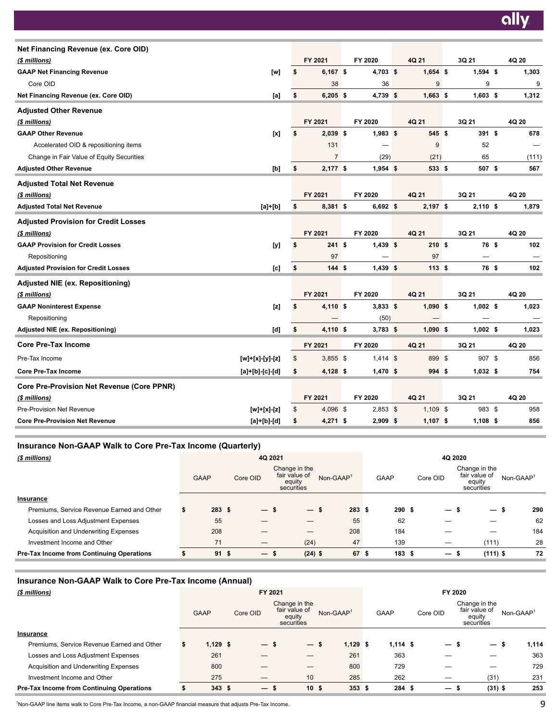| Net Financing Revenue (ex. Core OID)              |                         |                  |            |            |            |       |
|---------------------------------------------------|-------------------------|------------------|------------|------------|------------|-------|
| (\$ millions)                                     |                         | FY 2021          | FY 2020    | 4Q 21      | 3Q 21      | 4Q 20 |
| <b>GAAP Net Financing Revenue</b>                 | [w]                     | \$<br>$6,167$ \$ | $4,703$ \$ | $1,654$ \$ | $1,594$ \$ | 1,303 |
| Core OID                                          |                         | 38               | 36         | 9          | 9          | 9     |
| Net Financing Revenue (ex. Core OID)              | [a]                     | \$<br>$6,205$ \$ | $4,739$ \$ | $1,663$ \$ | $1,603$ \$ | 1,312 |
| <b>Adjusted Other Revenue</b>                     |                         |                  |            |            |            |       |
| (\$ millions)                                     |                         | FY 2021          | FY 2020    | 4Q 21      | 3Q 21      | 4Q 20 |
| <b>GAAP Other Revenue</b>                         | [x]                     | \$<br>$2,039$ \$ | $1,983$ \$ | 545\$      | 391 \$     | 678   |
| Accelerated OID & repositioning items             |                         | 131              |            | 9          | 52         |       |
| Change in Fair Value of Equity Securities         |                         | $\overline{7}$   | (29)       | (21)       | 65         | (111) |
| <b>Adjusted Other Revenue</b>                     | [b]                     | \$<br>$2,177$ \$ | $1,954$ \$ | 533 \$     | 507 \$     | 567   |
| <b>Adjusted Total Net Revenue</b>                 |                         |                  |            |            |            |       |
| (\$ millions)                                     |                         | FY 2021          | FY 2020    | 4Q 21      | 3Q 21      | 4Q 20 |
| <b>Adjusted Total Net Revenue</b>                 | $[a] + [b]$             | \$<br>8,381 \$   | $6,692$ \$ | $2,197$ \$ | $2,110$ \$ | 1,879 |
| <b>Adjusted Provision for Credit Losses</b>       |                         |                  |            |            |            |       |
| (\$ millions)                                     |                         | FY 2021          | FY 2020    | 4Q 21      | 3Q 21      | 4Q 20 |
| <b>GAAP Provision for Credit Losses</b>           | [y]                     | \$<br>241S       | $1,439$ \$ | 210S       | 76 \$      | 102   |
| Repositioning                                     |                         | 97               |            | 97         |            |       |
| <b>Adjusted Provision for Credit Losses</b>       | [c]                     | \$<br>144S       | $1,439$ \$ | 113S       | 76 \$      | 102   |
| <b>Adjusted NIE (ex. Repositioning)</b>           |                         |                  |            |            |            |       |
| (\$ millions)                                     |                         | FY 2021          | FY 2020    | 4Q 21      | 3Q 21      | 4Q 20 |
| <b>GAAP Noninterest Expense</b>                   | [z]                     | \$<br>4,110 \$   | $3,833$ \$ | $1,090$ \$ | $1,002$ \$ | 1,023 |
| Repositioning                                     |                         |                  | (50)       |            |            |       |
| Adjusted NIE (ex. Repositioning)                  | [d]                     | \$<br>4,110 \$   | $3,783$ \$ | $1,090$ \$ | $1,002$ \$ | 1,023 |
| <b>Core Pre-Tax Income</b>                        |                         | FY 2021          | FY 2020    | 4Q 21      | 3Q 21      | 4Q 20 |
| Pre-Tax Income                                    | [w]+[x]-[y]-[z]         | \$<br>$3,855$ \$ | $1,414$ \$ | 899 \$     | 907 \$     | 856   |
| <b>Core Pre-Tax Income</b>                        | $[a] + [b] - [c] - [d]$ | \$<br>$4,128$ \$ | $1,470$ \$ | 994 \$     | $1,032$ \$ | 754   |
| <b>Core Pre-Provision Net Revenue (Core PPNR)</b> |                         |                  |            |            |            |       |
| (\$ millions)                                     |                         | FY 2021          | FY 2020    | 4Q 21      | 3Q 21      | 4Q 20 |
| Pre-Provision Net Revenue                         | $[w]+[x]-[z]$           | \$<br>4,096 \$   | $2,853$ \$ | $1,109$ \$ | 983 \$     | 958   |
| <b>Core Pre-Provision Net Revenue</b>             | $[a] + [b] - [d]$       | \$<br>$4,271$ \$ | $2,909$ \$ | $1,107$ \$ | $1,108$ \$ | 856   |
|                                                   |                         |                  |            |            |            |       |

# **Insurance Non-GAAP Walk to Core Pre-Tax Income (Quarterly)**

| (\$ millions)                                    |             | 4Q 2021         |                   | 4Q 2020                                                |             |  |             |          |                          |                                                        |                       |
|--------------------------------------------------|-------------|-----------------|-------------------|--------------------------------------------------------|-------------|--|-------------|----------|--------------------------|--------------------------------------------------------|-----------------------|
|                                                  | <b>GAAP</b> |                 | Core OID          | Change in the<br>fair value of<br>equity<br>securities | $Non-GAAP1$ |  | <b>GAAP</b> | Core OID |                          | Change in the<br>fair value of<br>equity<br>securities | Non-GAAP <sup>1</sup> |
| Insurance                                        |             |                 |                   |                                                        |             |  |             |          |                          |                                                        |                       |
| Premiums, Service Revenue Earned and Other       | э           | 283S            | — s               | — s                                                    | 283S        |  | 290S        |          | $\overline{\phantom{0}}$ | $\overline{\phantom{0}}$<br>- 39                       | 290                   |
| Losses and Loss Adjustment Expenses              | 55          |                 |                   |                                                        | 55          |  | 62          |          |                          |                                                        | 62                    |
| Acquisition and Underwriting Expenses            | 208         |                 |                   |                                                        | 208         |  | 184         |          |                          | _                                                      | 184                   |
| Investment Income and Other                      | 71          |                 |                   | (24)                                                   | 47          |  | 139         |          |                          | (111)                                                  | 28                    |
| <b>Pre-Tax Income from Continuing Operations</b> |             | 91 <sup>5</sup> | $\qquad \qquad -$ | $(24)$ \$<br>ъ                                         | 67 \$       |  | 183S        |          | $\qquad \qquad \qquad$   | $(111)$ \$                                             | 72                    |

# **Insurance Non-GAAP Walk to Core Pre-Tax Income (Annual)**

| (\$ millions)                                    |             |           | FY 2021                                                |             | FY 2020    |                          |                                                        |                       |  |  |  |
|--------------------------------------------------|-------------|-----------|--------------------------------------------------------|-------------|------------|--------------------------|--------------------------------------------------------|-----------------------|--|--|--|
|                                                  | <b>GAAP</b> | Core OID  | Change in the<br>fair value of<br>equity<br>securities | $Non-GAAP1$ | GAAP       | Core OID                 | Change in the<br>fair value of<br>equity<br>securities | Non-GAAP <sup>1</sup> |  |  |  |
| Insurance                                        |             |           |                                                        |             |            |                          |                                                        |                       |  |  |  |
| Premiums, Service Revenue Earned and Other       | $1,129$ \$  | — s       | $\qquad \qquad -$                                      | $1,129$ \$  | $1,114$ \$ | $\overline{\phantom{0}}$ | — s                                                    | 1,114                 |  |  |  |
| Losses and Loss Adjustment Expenses              | 261         |           |                                                        | 261         | 363        |                          |                                                        | 363                   |  |  |  |
| Acquisition and Underwriting Expenses            | 800         |           | —                                                      | 800         | 729        |                          | _                                                      | 729                   |  |  |  |
| Investment Income and Other                      | 275         | _         | 10                                                     | 285         | 262        |                          | (31)                                                   | 231                   |  |  |  |
| <b>Pre-Tax Income from Continuing Operations</b> | 343         | -S<br>$-$ | 10 <sup>5</sup>                                        | 353S        | 284 \$     | $\overline{\phantom{0}}$ | $(31)$ \$                                              | 253                   |  |  |  |

<sup>1</sup>Non-GAAP line items walk to Core Pre-Tax Income, a non-GAAP financial measure that adjusts Pre-Tax Income.